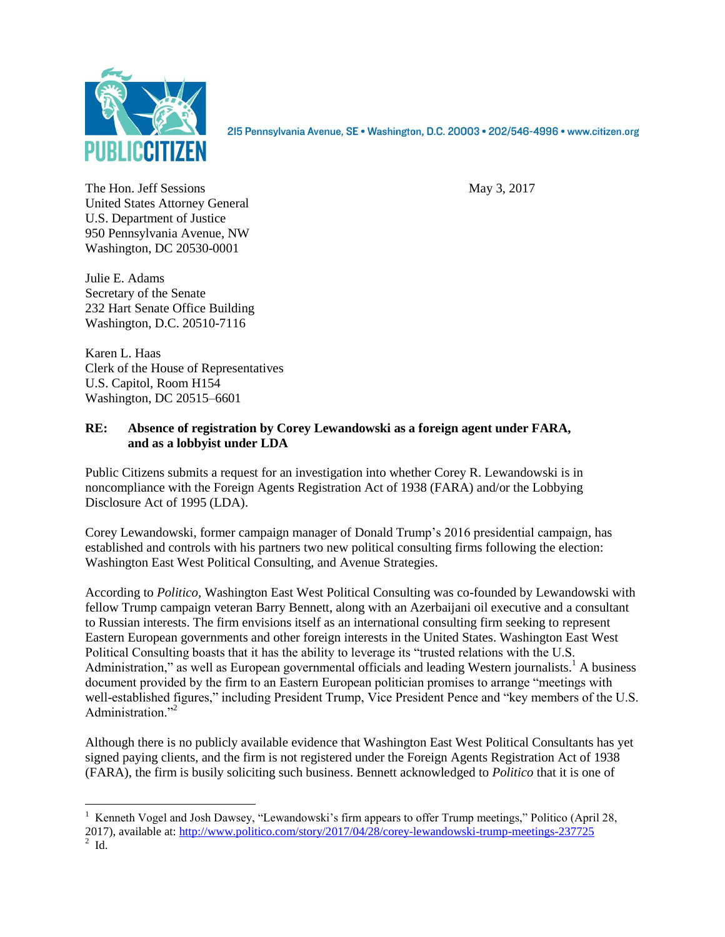

2I5 Pennsylvania Avenue, SE · Washington, D.C. 20003 · 202/546-4996 · www.citizen.org

The Hon. Jeff Sessions May 3, 2017 United States Attorney General U.S. Department of Justice 950 Pennsylvania Avenue, NW Washington, DC 20530-0001

Julie E. Adams Secretary of the Senate 232 Hart Senate Office Building Washington, D.C. 20510-7116

Karen L. Haas Clerk of the House of Representatives U.S. Capitol, Room H154 Washington, DC 20515–6601

## **RE: Absence of registration by Corey Lewandowski as a foreign agent under FARA, and as a lobbyist under LDA**

Public Citizens submits a request for an investigation into whether Corey R. Lewandowski is in noncompliance with the Foreign Agents Registration Act of 1938 (FARA) and/or the Lobbying Disclosure Act of 1995 (LDA).

Corey Lewandowski, former campaign manager of Donald Trump's 2016 presidential campaign, has established and controls with his partners two new political consulting firms following the election: Washington East West Political Consulting, and Avenue Strategies.

According to *Politico*, Washington East West Political Consulting was co-founded by Lewandowski with fellow Trump campaign veteran Barry Bennett, along with an Azerbaijani oil executive and a consultant to Russian interests. The firm envisions itself as an international consulting firm seeking to represent Eastern European governments and other foreign interests in the United States. Washington East West Political Consulting boasts that it has the ability to leverage its "trusted relations with the U.S. Administration," as well as European governmental officials and leading Western journalists.<sup>1</sup> A business document provided by the firm to an Eastern European politician promises to arrange "meetings with well-established figures," including President Trump, Vice President Pence and "key members of the U.S. Administration."<sup>2</sup>

Although there is no publicly available evidence that Washington East West Political Consultants has yet signed paying clients, and the firm is not registered under the Foreign Agents Registration Act of 1938 (FARA), the firm is busily soliciting such business. Bennett acknowledged to *Politico* that it is one of

 $\overline{a}$ 

<sup>&</sup>lt;sup>1</sup> Kenneth Vogel and Josh Dawsey, "Lewandowski's firm appears to offer Trump meetings," Politico (April 28, 2017), available at: <u>http://www.politico.com/story/2017/04/28/corey-lewandowski-trump-meetings-237725</u><br><sup>2</sup> Id.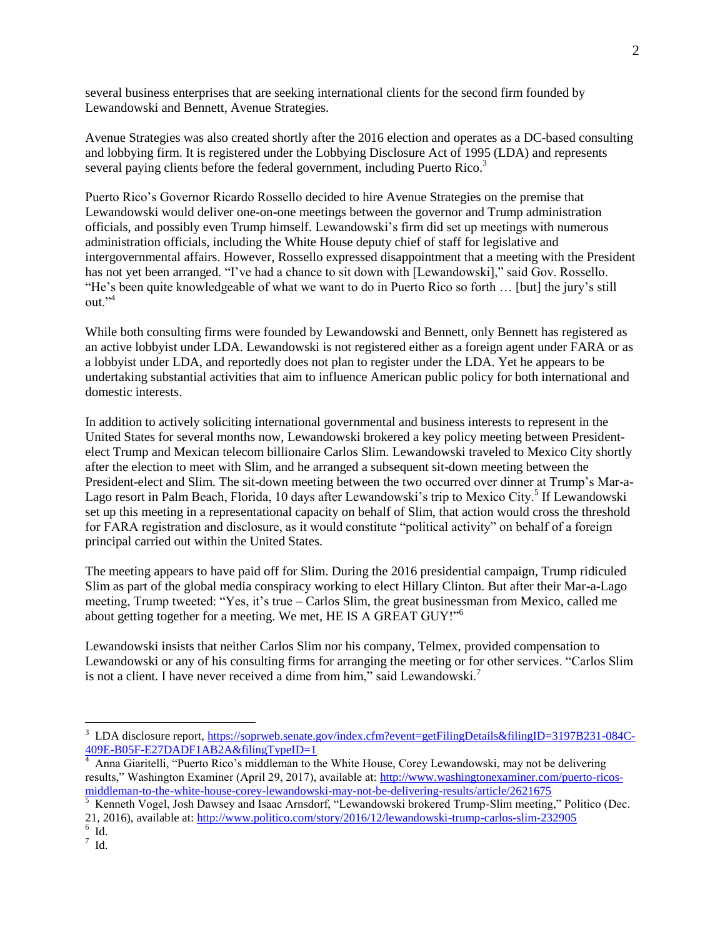several business enterprises that are seeking international clients for the second firm founded by Lewandowski and Bennett, Avenue Strategies.

Avenue Strategies was also created shortly after the 2016 election and operates as a DC-based consulting and lobbying firm. It is registered under the Lobbying Disclosure Act of 1995 (LDA) and represents several paying clients before the federal government, including Puerto Rico.<sup>3</sup>

Puerto Rico's Governor Ricardo Rossello decided to hire Avenue Strategies on the premise that Lewandowski would deliver one-on-one meetings between the governor and Trump administration officials, and possibly even Trump himself. Lewandowski's firm did set up meetings with numerous administration officials, including the White House deputy chief of staff for legislative and intergovernmental affairs. However, Rossello expressed disappointment that a meeting with the President has not yet been arranged. "I've had a chance to sit down with [Lewandowski]," said Gov. Rossello. "He's been quite knowledgeable of what we want to do in Puerto Rico so forth … [but] the jury's still out."<sup>4</sup>

While both consulting firms were founded by Lewandowski and Bennett, only Bennett has registered as an active lobbyist under LDA. Lewandowski is not registered either as a foreign agent under FARA or as a lobbyist under LDA, and reportedly does not plan to register under the LDA. Yet he appears to be undertaking substantial activities that aim to influence American public policy for both international and domestic interests.

In addition to actively soliciting international governmental and business interests to represent in the United States for several months now, Lewandowski brokered a key policy meeting between Presidentelect Trump and Mexican telecom billionaire Carlos Slim. Lewandowski traveled to Mexico City shortly after the election to meet with Slim, and he arranged a subsequent sit-down meeting between the President-elect and Slim. The sit-down meeting between the two occurred over dinner at Trump's Mar-a-Lago resort in Palm Beach, Florida, 10 days after Lewandowski's trip to Mexico City.<sup>5</sup> If Lewandowski set up this meeting in a representational capacity on behalf of Slim, that action would cross the threshold for FARA registration and disclosure, as it would constitute "political activity" on behalf of a foreign principal carried out within the United States.

The meeting appears to have paid off for Slim. During the 2016 presidential campaign, Trump ridiculed Slim as part of the global media conspiracy working to elect Hillary Clinton. But after their Mar-a-Lago meeting, Trump tweeted: "Yes, it's true – Carlos Slim, the great businessman from Mexico, called me about getting together for a meeting. We met, HE IS A GREAT GUY!"<sup>6</sup>

Lewandowski insists that neither Carlos Slim nor his company, Telmex, provided compensation to Lewandowski or any of his consulting firms for arranging the meeting or for other services. "Carlos Slim is not a client. I have never received a dime from him," said Lewandowski.<sup>7</sup>

 $\overline{a}$ 

<sup>3</sup> LDA disclosure report, [https://soprweb.senate.gov/index.cfm?event=getFilingDetails&filingID=3197B231-084C-](https://soprweb.senate.gov/index.cfm?event=getFilingDetails&filingID=3197B231-084C-409E-B05F-E27DADF1AB2A&filingTypeID=1)[409E-B05F-E27DADF1AB2A&filingTypeID=1](https://soprweb.senate.gov/index.cfm?event=getFilingDetails&filingID=3197B231-084C-409E-B05F-E27DADF1AB2A&filingTypeID=1)

<sup>&</sup>lt;sup>4</sup> Anna Giaritelli, "Puerto Rico's middleman to the White House, Corey Lewandowski, may not be delivering results," Washington Examiner (April 29, 2017), available at: [http://www.washingtonexaminer.com/puerto-ricos](http://www.washingtonexaminer.com/puerto-ricos-middleman-to-the-white-house-corey-lewandowski-may-not-be-delivering-results/article/2621675)[middleman-to-the-white-house-corey-lewandowski-may-not-be-delivering-results/article/2621675](http://www.washingtonexaminer.com/puerto-ricos-middleman-to-the-white-house-corey-lewandowski-may-not-be-delivering-results/article/2621675)

<sup>&</sup>lt;sup>5</sup> Kenneth Vogel, Josh Dawsey and Isaac Arnsdorf, "Lewandowski brokered Trump-Slim meeting," Politico (Dec. 21, 2016), available at: <u>http://www.politico.com/story/2016/12/lewandowski-trump-carlos-slim-232905</u><br><sup>6</sup> Id.

 $^7$  Id.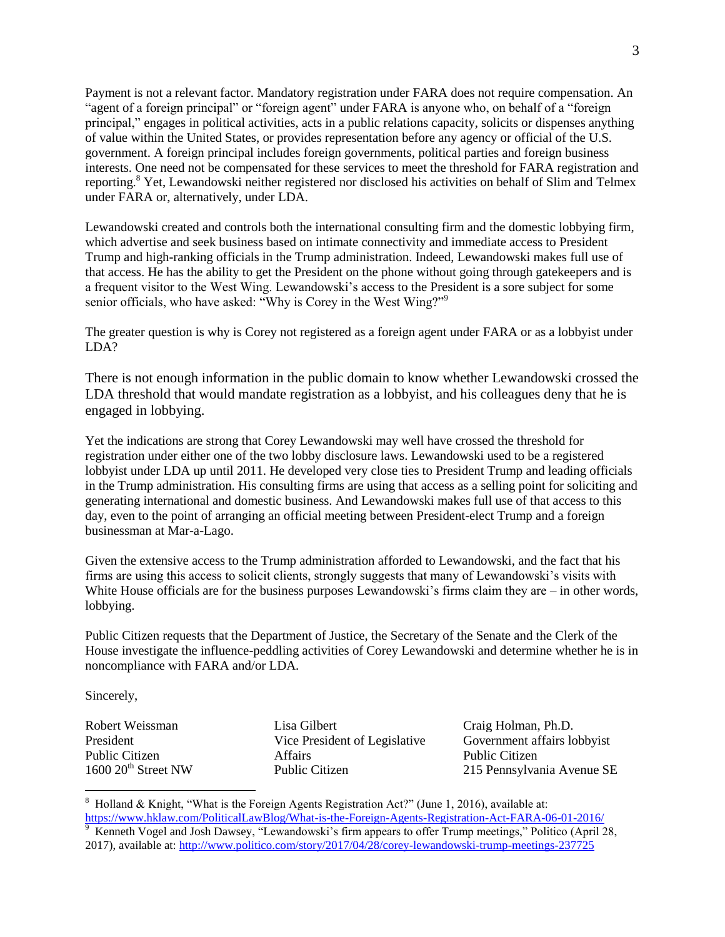Payment is not a relevant factor. Mandatory registration under FARA does not require compensation. An "agent of a foreign principal" or "foreign agent" under FARA is anyone who, on behalf of a "foreign principal," engages in political activities, acts in a public relations capacity, solicits or dispenses anything of value within the United States, or provides representation before any agency or official of the U.S. government. A foreign principal includes foreign governments, political parties and foreign business interests. One need not be compensated for these services to meet the threshold for FARA registration and reporting.<sup>8</sup> Yet, Lewandowski neither registered nor disclosed his activities on behalf of Slim and Telmex under FARA or, alternatively, under LDA.

Lewandowski created and controls both the international consulting firm and the domestic lobbying firm, which advertise and seek business based on intimate connectivity and immediate access to President Trump and high-ranking officials in the Trump administration. Indeed, Lewandowski makes full use of that access. He has the ability to get the President on the phone without going through gatekeepers and is a frequent visitor to the West Wing. Lewandowski's access to the President is a sore subject for some senior officials, who have asked: "Why is Corey in the West Wing?"<sup>9</sup>

The greater question is why is Corey not registered as a foreign agent under FARA or as a lobbyist under LDA?

There is not enough information in the public domain to know whether Lewandowski crossed the LDA threshold that would mandate registration as a lobbyist, and his colleagues deny that he is engaged in lobbying.

Yet the indications are strong that Corey Lewandowski may well have crossed the threshold for registration under either one of the two lobby disclosure laws. Lewandowski used to be a registered lobbyist under LDA up until 2011. He developed very close ties to President Trump and leading officials in the Trump administration. His consulting firms are using that access as a selling point for soliciting and generating international and domestic business. And Lewandowski makes full use of that access to this day, even to the point of arranging an official meeting between President-elect Trump and a foreign businessman at Mar-a-Lago.

Given the extensive access to the Trump administration afforded to Lewandowski, and the fact that his firms are using this access to solicit clients, strongly suggests that many of Lewandowski's visits with White House officials are for the business purposes Lewandowski's firms claim they are – in other words, lobbying.

Public Citizen requests that the Department of Justice, the Secretary of the Senate and the Clerk of the House investigate the influence-peddling activities of Corey Lewandowski and determine whether he is in noncompliance with FARA and/or LDA.

Sincerely,

 $\overline{a}$ 

Robert Weissman President Public Citizen  $1600 20<sup>th</sup>$  Street NW Lisa Gilbert Vice President of Legislative Affairs Public Citizen

Craig Holman, Ph.D. Government affairs lobbyist Public Citizen 215 Pennsylvania Avenue SE

<sup>&</sup>lt;sup>8</sup> Holland & Knight, "What is the Foreign Agents Registration Act?" (June 1, 2016), available at:

<https://www.hklaw.com/PoliticalLawBlog/What-is-the-Foreign-Agents-Registration-Act-FARA-06-01-2016/><br><sup>9</sup> Kenneth Vogel and Josh Dawsey, "Lewandowski's firm appears to offer Trump meetings," Politico (April 28, 2017), available at:<http://www.politico.com/story/2017/04/28/corey-lewandowski-trump-meetings-237725>